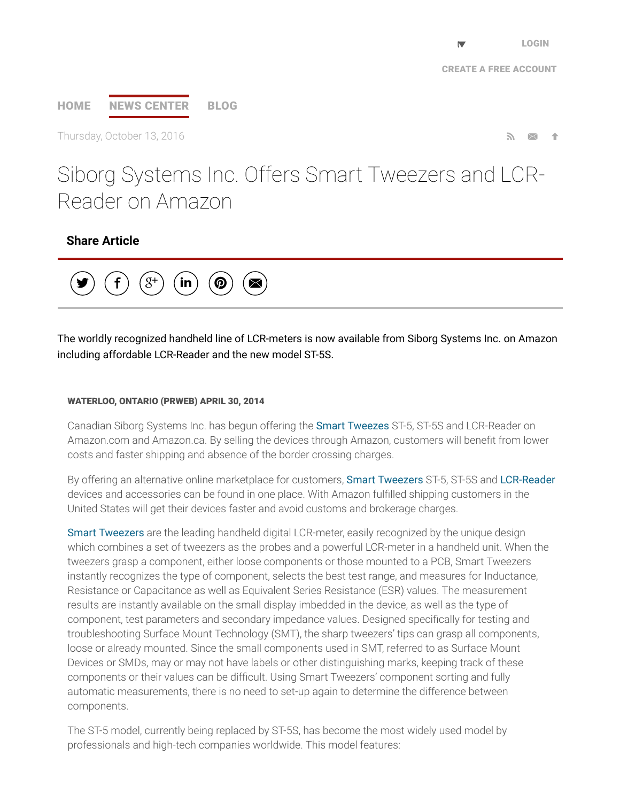# [HOME](http://www.prweb.com/) NEWS [CENTER](http://www.prweb.com/recentnews/) [BLOG](http://www.cision.com/us/blog/)

Thursday, October 13, 2016  $\blacksquare$ 

Siborg Systems Inc. Offers Smart Tweezers and LCR-Reader on Amazon

## Share Article



The worldly recognized handheld line of LCR-meters is now available from Siborg Systems Inc. on Amazon including affordable LCR-Reader and the new model ST-5S.

#### WATERLOO, ONTARIO (PRWEB) APRIL 30, 2014

Canadian Siborg Systems Inc. has begun offering the Smart [Tweezes](http://www.prweb.net/Redirect.aspx?id=aHR0cDovL3d3dy5zaWJvcmcuY29tL3NtYXJ0dHdlZXplcnM=) ST-5, ST-5S and LCR-Reader on Amazon.com and Amazon.ca. By selling the devices through Amazon, customers will bene∱t from lower costs and faster shipping and absence of the border crossing charges.

By offering an alternative online marketplace for customers, Smart [Tweezers](http://www.prweb.net/Redirect.aspx?id=aHR0cDovL3d3dy5zbWFydHR3ZWV6ZXJzLnVz) ST-5, ST-5S and [LCR-Reader](http://www.prweb.net/Redirect.aspx?id=aHR0cDovL3d3dy5sY3ItcmVhZGVyLmNvbQ==) devices and accessories can be found in one place. With Amazon ful∱lled shipping customers in the United States will get their devices faster and avoid customs and brokerage charges.

Smart [Tweezers](http://www.prweb.net/Redirect.aspx?id=aHR0cDovL3d3dy5zbWFydHR3ZWV6ZXJzLmlu) are the leading handheld digital LCR-meter, easily recognized by the unique design which combines a set of tweezers as the probes and a powerful LCR-meter in a handheld unit. When the tweezers grasp a component, either loose components or those mounted to a PCB, Smart Tweezers instantly recognizes the type of component, selects the best test range, and measures for Inductance, Resistance or Capacitance as well as Equivalent Series Resistance (ESR) values. The measurement results are instantly available on the small display imbedded in the device, as well as the type of component, test parameters and secondary impedance values. Designed speci∱cally for testing and troubleshooting Surface Mount Technology (SMT), the sharp tweezers' tips can grasp all components, loose or already mounted. Since the small components used in SMT, referred to as Surface Mount Devices or SMDs, may or may not have labels or other distinguishing marks, keeping track of these components or their values can be difficult. Using Smart Tweezers' component sorting and fully automatic measurements, there is no need to set-up again to determine the difference between components.

The ST-5 model, currently being replaced by ST-5S, has become the most widely used model by professionals and high-tech companies worldwide. This model features: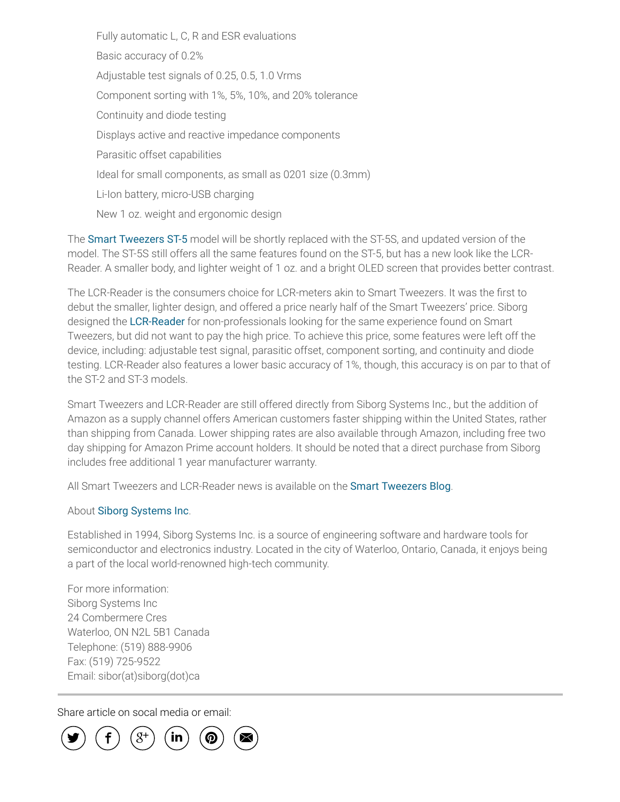Fully automatic L, C, R and ESR evaluations Basic accuracy of 0.2% Adjustable test signals of 0.25, 0.5, 1.0 Vrms Component sorting with 1%, 5%, 10%, and 20% tolerance Continuity and diode testing Displays active and reactive impedance components Parasitic offset capabilities Ideal for small components, as small as 0201 size (0.3mm) Li-Ion battery, micro-USB charging New 1 oz. weight and ergonomic design

The Smart [Tweezers](http://www.prweb.net/Redirect.aspx?id=aHR0cDovL3d3dy5zbWFydHR3ZWV6ZXJzLmNh) ST-5 model will be shortly replaced with the ST-5S, and updated version of the model. The ST-5S still offers all the same features found on the ST-5, but has a new look like the LCR-Reader. A smaller body, and lighter weight of 1 oz. and a bright OLED screen that provides better contrast.

The LCR-Reader is the consumers choice for LCR-meters akin to Smart Tweezers. It was the first to debut the smaller, lighter design, and offered a price nearly half of the Smart Tweezers' price. Siborg designed the [LCR-Reader](http://www.prweb.net/Redirect.aspx?id=aHR0cDovL3d3dy5sY3ItcmVhZGVyLmNvbQ==) for non-professionals looking for the same experience found on Smart Tweezers, but did not want to pay the high price. To achieve this price, some features were left off the device, including: adjustable test signal, parasitic offset, component sorting, and continuity and diode testing. LCR-Reader also features a lower basic accuracy of 1%, though, this accuracy is on par to that of the ST-2 and ST-3 models.

Smart Tweezers and LCR-Reader are still offered directly from Siborg Systems Inc., but the addition of Amazon as a supply channel offers American customers faster shipping within the United States, rather than shipping from Canada. Lower shipping rates are also available through Amazon, including free two day shipping for Amazon Prime account holders. It should be noted that a direct purchase from Siborg includes free additional 1 year manufacturer warranty.

All Smart Tweezers and LCR-Reader news is available on the Smart [Tweezers](http://www.prweb.net/Redirect.aspx?id=aHR0cDovL3d3dy5zbWFydHR3ZWV6ZXJzLnVzL2Jsb2c=) Blog.

#### About Siborg [Systems](http://www.prweb.net/Redirect.aspx?id=aHR0cDovL3d3dy5zaWJvcmcuY29t) Inc.

Established in 1994, Siborg Systems Inc. is a source of engineering software and hardware tools for semiconductor and electronics industry. Located in the city of Waterloo, Ontario, Canada, it enjoys being a part of the local world-renowned high-tech community.

For more information: Siborg Systems Inc 24 Combermere Cres Waterloo, ON N2L 5B1 Canada Telephone: (519) 888-9906 Fax: (519) 725-9522 Email: sibor(at)siborg(dot)ca

Share article on socal media or email:

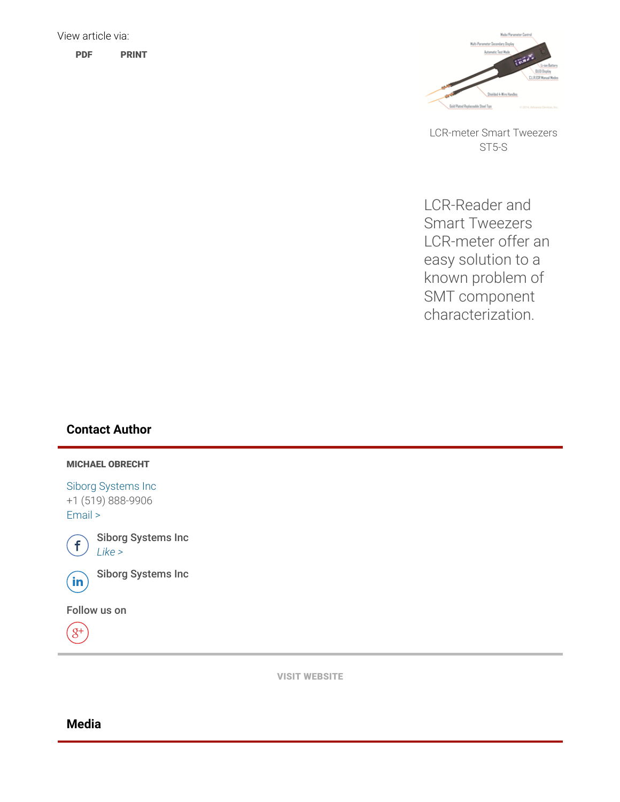

LCR-meter Smart Tweezers ST5-S

LCR-Reader and Smart Tweezers LCR-meter offer an easy solution to a known problem of SMT component characterization.

### Contact Author

#### MICHAEL OBRECHT

Siborg [Systems](http://www.prweb.net/Redirect.aspx?id=aHR0cDovL3d3dy5zaWJvcmcuY29t) Inc +1 (519) 888-9906 [Email](http://www.prweb.com/EmailContact.aspx?prid=11809292) >



 $\bigoplus$  Siborg Systems Inc

 $\widehat{\mathsf{in}}$  Siborg Systems Inc

Follow us on



VISIT [WEBSITE](http://www.prweb.net/Redirect.aspx?id=aHR0cDovL3d3dy5sY3ItcmVhZGVyLmNvbQ==)

### Media